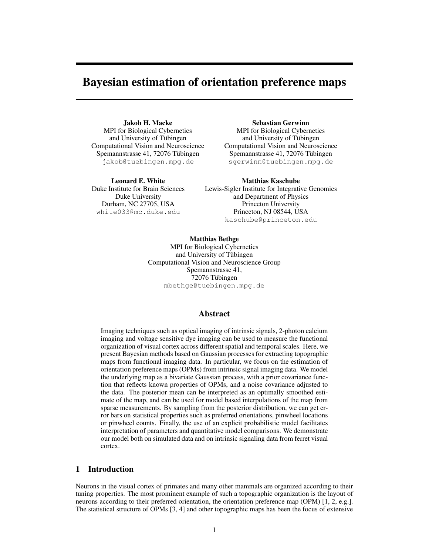# Bayesian estimation of orientation preference maps

Jakob H. Macke MPI for Biological Cybernetics and University of Tübingen Computational Vision and Neuroscience Spemannstrasse 41, 72076 Tübingen jakob@tuebingen.mpg.de

Leonard E. White Duke Institute for Brain Sciences Duke University Durham, NC 27705, USA white033@mc.duke.edu

Sebastian Gerwinn MPI for Biological Cybernetics and University of Tübingen Computational Vision and Neuroscience Spemannstrasse 41, 72076 Tübingen sgerwinn@tuebingen.mpg.de

Matthias Kaschube Lewis-Sigler Institute for Integrative Genomics and Department of Physics Princeton University Princeton, NJ 08544, USA kaschube@princeton.edu

Matthias Bethge MPI for Biological Cybernetics and University of Tübingen Computational Vision and Neuroscience Group Spemannstrasse 41, 72076 Tübingen mbethge@tuebingen.mpg.de

# Abstract

Imaging techniques such as optical imaging of intrinsic signals, 2-photon calcium imaging and voltage sensitive dye imaging can be used to measure the functional organization of visual cortex across different spatial and temporal scales. Here, we present Bayesian methods based on Gaussian processes for extracting topographic maps from functional imaging data. In particular, we focus on the estimation of orientation preference maps (OPMs) from intrinsic signal imaging data. We model the underlying map as a bivariate Gaussian process, with a prior covariance function that reflects known properties of OPMs, and a noise covariance adjusted to the data. The posterior mean can be interpreted as an optimally smoothed estimate of the map, and can be used for model based interpolations of the map from sparse measurements. By sampling from the posterior distribution, we can get error bars on statistical properties such as preferred orientations, pinwheel locations or pinwheel counts. Finally, the use of an explicit probabilistic model facilitates interpretation of parameters and quantitative model comparisons. We demonstrate our model both on simulated data and on intrinsic signaling data from ferret visual cortex.

#### 1 Introduction

Neurons in the visual cortex of primates and many other mammals are organized according to their tuning properties. The most prominent example of such a topographic organization is the layout of neurons according to their preferred orientation, the orientation preference map (OPM) [1, 2, e.g.]. The statistical structure of OPMs [3, 4] and other topographic maps has been the focus of extensive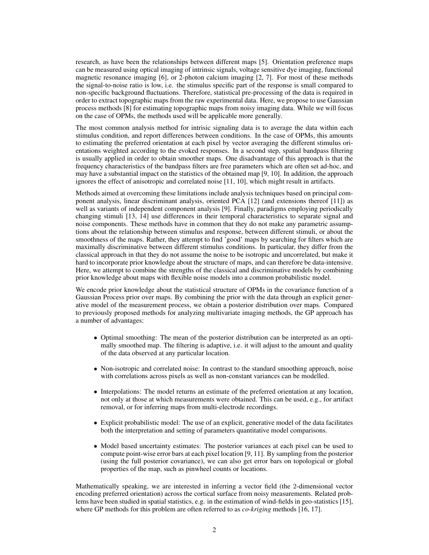research, as have been the relationships between different maps [5]. Orientation preference maps can be measured using optical imaging of intrinsic signals, voltage sensitive dye imaging, functional magnetic resonance imaging [6], or 2-photon calcium imaging [2, 7]. For most of these methods the signal-to-noise ratio is low, i.e. the stimulus specific part of the response is small compared to non-specific background fluctuations. Therefore, statistical pre-processing of the data is required in order to extract topographic maps from the raw experimental data. Here, we propose to use Gaussian process methods [8] for estimating topographic maps from noisy imaging data. While we will focus on the case of OPMs, the methods used will be applicable more generally.

The most common analysis method for intrisic signaling data is to average the data within each stimulus condition, and report differences between conditions. In the case of OPMs, this amounts to estimating the preferred orientation at each pixel by vector averaging the different stimulus orientations weighted according to the evoked responses. In a second step, spatial bandpass filtering is usually applied in order to obtain smoother maps. One disadvantage of this approach is that the frequency characteristics of the bandpass filters are free parameters which are often set ad-hoc, and may have a substantial impact on the statistics of the obtained map [9, 10]. In addition, the approach ignores the effect of anisotropic and correlated noise [11, 10], which might result in artifacts.

Methods aimed at overcoming these limitations include analysis techniques based on principal component analysis, linear discriminant analysis, oriented PCA [12] (and extensions thereof [11]) as well as variants of independent component analysis [9]. Finally, paradigms employing periodically changing stimuli [13, 14] use differences in their temporal characteristics to separate signal and noise components. These methods have in common that they do not make any parametric assumptions about the relationship between stimulus and response, between different stimuli, or about the smoothness of the maps. Rather, they attempt to find 'good' maps by searching for filters which are maximally discriminative between different stimulus conditions. In particular, they differ from the classical approach in that they do not assume the noise to be isotropic and uncorrelated, but make it hard to incorporate prior knowledge about the structure of maps, and can therefore be data-intensive. Here, we attempt to combine the strengths of the classical and discriminative models by combining prior knowledge about maps with flexible noise models into a common probabilistic model.

We encode prior knowledge about the statistical structure of OPMs in the covariance function of a Gaussian Process prior over maps. By combining the prior with the data through an explicit generative model of the measurement process, we obtain a posterior distribution over maps. Compared to previously proposed methods for analyzing multivariate imaging methods, the GP approach has a number of advantages:

- Optimal smoothing: The mean of the posterior distribution can be interpreted as an optimally smoothed map. The filtering is adaptive, i.e. it will adjust to the amount and quality of the data observed at any particular location.
- Non-isotropic and correlated noise: In contrast to the standard smoothing approach, noise with correlations across pixels as well as non-constant variances can be modelled.
- Interpolations: The model returns an estimate of the preferred orientation at any location, not only at those at which measurements were obtained. This can be used, e.g., for artifact removal, or for inferring maps from multi-electrode recordings.
- Explicit probabilistic model: The use of an explicit, generative model of the data facilitates both the interpretation and setting of parameters quantitative model comparisons.
- Model based uncertainty estimates: The posterior variances at each pixel can be used to compute point-wise error bars at each pixel location [9, 11]. By sampling from the posterior (using the full posterior covariance), we can also get error bars on topological or global properties of the map, such as pinwheel counts or locations.

Mathematically speaking, we are interested in inferring a vector field (the 2-dimensional vector encoding preferred orientation) across the cortical surface from noisy measurements. Related problems have been studied in spatial statistics, e.g. in the estimation of wind-fields in geo-statistics [15], where GP methods for this problem are often referred to as *co-kriging* methods [16, 17].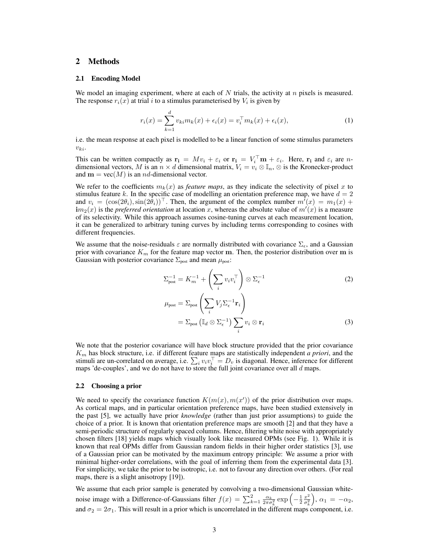# 2 Methods

#### 2.1 Encoding Model

We model an imaging experiment, where at each of  $N$  trials, the activity at  $n$  pixels is measured. The response  $r_i(x)$  at trial i to a stimulus parameterised by  $V_i$  is given by

$$
r_i(x) = \sum_{k=1}^d v_{ki} m_k(x) + \epsilon_i(x) = v_i^\top m_k(x) + \epsilon_i(x), \tag{1}
$$

i.e. the mean response at each pixel is modelled to be a linear function of some stimulus parameters  $v_{ki}$ .

This can be written compactly as  $\mathbf{r_i} = Mv_i + \varepsilon_i$  or  $\mathbf{r_i} = V_i^{\top} \mathbf{m} + \varepsilon_i$ . Here,  $\mathbf{r_i}$  and  $\varepsilon_i$  are ndimensional vectors, M is an  $n \times d$  dimensional matrix,  $V_i = v_i \otimes \mathbb{I}_n$ ,  $\otimes$  is the Kronecker-product and  $\mathbf{m} = \text{vec}(M)$  is an *nd*-dimensional vector.

We refer to the coefficients  $m_k(x)$  as *feature maps*, as they indicate the selectivity of pixel x to stimulus feature k. In the specific case of modelling an orientation preference map, we have  $d = 2$ and  $v_i = (\cos(2\theta_i), \sin(2\theta_i))^{\top}$ . Then, the argument of the complex number  $m^i(x) = m_1(x) +$  $\mathbf{im}_2(x)$  is the *preferred orientation* at location x, whereas the absolute value of  $m'(x)$  is a measure of its selectivity. While this approach assumes cosine-tuning curves at each measurement location, it can be generalized to arbitrary tuning curves by including terms corresponding to cosines with different frequencies.

We assume that the noise-residuals  $\varepsilon$  are normally distributed with covariance  $\Sigma_{\varepsilon}$ , and a Gaussian prior with covariance  $K_m$  for the feature map vector m. Then, the posterior distribution over m is Gaussian with posterior covariance  $\Sigma_{\text{post}}$  and mean  $\mu_{\text{post}}$ :

$$
\Sigma_{\text{post}}^{-1} = K_m^{-1} + \left(\sum_i v_i v_i^\top\right) \otimes \Sigma_{\epsilon}^{-1} \tag{2}
$$

$$
\mu_{\text{post}} = \Sigma_{\text{post}} \left( \sum_{i} V_{j} \Sigma_{\epsilon}^{-1} \mathbf{r}_{i} \right)
$$

$$
= \Sigma_{\text{post}} \left( \mathbb{I}_{d} \otimes \Sigma_{\epsilon}^{-1} \right) \sum_{i} v_{i} \otimes \mathbf{r}_{i} \tag{3}
$$

We note that the posterior covariance will have block structure provided that the prior covariance K<sup>m</sup> has block structure, i.e. if different feature maps are statistically independent *a priori*, and the stimuli are un-correlated on average, i.e.  $\sum_i v_i v_i^\top = D_v$  is diagonal. Hence, inference for different maps 'de-couples', and we do not have to store the full joint covariance over all d maps.

#### 2.2 Choosing a prior

We need to specify the covariance function  $K(m(x), m(x'))$  of the prior distribution over maps. As cortical maps, and in particular orientation preference maps, have been studied extensively in the past [5], we actually have prior *knowledge* (rather than just prior assumptions) to guide the choice of a prior. It is known that orientation preference maps are smooth [2] and that they have a semi-periodic structure of regularly spaced columns. Hence, filtering white noise with appropriately chosen filters [18] yields maps which visually look like measured OPMs (see Fig. 1). While it is known that real OPMs differ from Gaussian random fields in their higher order statistics [3], use of a Gaussian prior can be motivated by the maximum entropy principle: We assume a prior with minimal higher-order correlations, with the goal of inferring them from the experimental data [3]. For simplicity, we take the prior to be isotropic, i.e. not to favour any direction over others. (For real maps, there is a slight anisotropy [19]).

We assume that each prior sample is generated by convolving a two-dimensional Gaussian whitenoise image with a Difference-of-Gaussians filter  $f(x) = \sum_{k=1}^{2} \frac{\alpha_k}{2\pi\sigma_k^2} \exp\left(-\frac{1}{2}\frac{x^2}{\sigma_k^2}\right)$  $\overline{\sigma_k^2}$  $\big), \alpha_1 = -\alpha_2,$ and  $\sigma_2 = 2\sigma_1$ . This will result in a prior which is uncorrelated in the different maps component, i.e.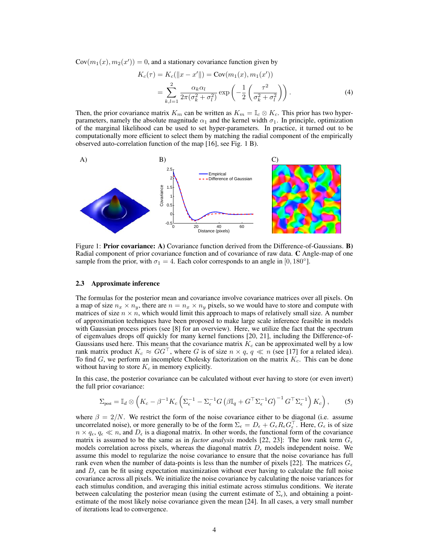$Cov(m_1(x), m_2(x')) = 0$ , and a stationary covariance function given by

$$
K_c(\tau) = K_c(||x - x'||) = \text{Cov}(m_1(x), m_1(x'))
$$
  
= 
$$
\sum_{k,l=1}^{2} \frac{\alpha_k \alpha_l}{2\pi(\sigma_k^2 + \sigma_l^2)} \exp\left(-\frac{1}{2} \left(\frac{\tau^2}{\sigma_k^2 + \sigma_l^2}\right)\right).
$$
 (4)

Then, the prior covariance matrix  $K_m$  can be written as  $K_m = \mathbb{I}_c \otimes K_c$ . This prior has two hyperparameters, namely the absolute magnitude  $\alpha_1$  and the kernel width  $\sigma_1$ . In principle, optimization of the marginal likelihood can be used to set hyper-parameters. In practice, it turned out to be computationally more efficient to select them by matching the radial component of the empirically observed auto-correlation function of the map [16], see Fig. 1 B).



Figure 1: **Prior covariance:** A) Covariance function derived from the Difference-of-Gaussians. **B**) Radial component of prior covariance function and of covariance of raw data. C Angle-map of one sample from the prior, with  $\sigma_1 = 4$ . Each color corresponds to an angle in [0, 180°].

#### 2.3 Approximate inference

The formulas for the posterior mean and covariance involve covariance matrices over all pixels. On a map of size  $n_x \times n_y$ , there are  $n = n_x \times n_y$  pixels, so we would have to store and compute with matrices of size  $n \times n$ , which would limit this approach to maps of relatively small size. A number of approximation techniques have been proposed to make large scale inference feasible in models with Gaussian process priors (see [8] for an overview). Here, we utilize the fact that the spectrum of eigenvalues drops off quickly for many kernel functions [20, 21], including the Difference-of-Gaussians used here. This means that the covariance matrix  $K_c$  can be approximated well by a low rank matrix product  $K_c \approx GG^{\top}$ , where G is of size  $n \times q$ ,  $q \ll n$  (see [17] for a related idea). To find  $G$ , we perform an incomplete Cholesky factorization on the matrix  $K_c$ . This can be done without having to store  $K_c$  in memory explicitly.

In this case, the posterior covariance can be calculated without ever having to store (or even invert) the full prior covariance:

$$
\Sigma_{\text{post}} = \mathbb{I}_d \otimes \left( K_c - \beta^{-1} K_c \left( \Sigma_{\epsilon}^{-1} - \Sigma_{\epsilon}^{-1} G \left( \beta \mathbb{I}_q + G^{\top} \Sigma_{\epsilon}^{-1} G \right)^{-1} G^{\top} \Sigma_{\epsilon}^{-1} \right) K_c \right), \tag{5}
$$

where  $\beta = 2/N$ . We restrict the form of the noise covariance either to be diagonal (i.e. assume uncorrelated noise), or more generally to be of the form  $\Sigma_{\epsilon} = D_{\epsilon} + G_{\epsilon} R_{\epsilon} G_{\epsilon}^{\top}$ . Here,  $G_{\epsilon}$  is of size  $n \times q_{\epsilon}$ ,  $q_{\epsilon} \ll n$ , and  $D_{\epsilon}$  is a diagonal matrix. In other words, the functional form of the covariance matrix is assumed to be the same as in *factor analysis* models [22, 23]: The low rank term  $G_{\epsilon}$ models correlation across pixels, whereas the diagonal matrix  $D_{\epsilon}$  models independent noise. We assume this model to regularize the noise covariance to ensure that the noise covariance has full rank even when the number of data-points is less than the number of pixels [22]. The matrices  $G_{\epsilon}$ and  $D_{\epsilon}$  can be fit using expectation maximization without ever having to calculate the full noise covariance across all pixels. We initialize the noise covariance by calculating the noise variances for each stimulus condition, and averaging this initial estimate across stimulus conditions. We iterate between calculating the posterior mean (using the current estimate of  $\Sigma_{\epsilon}$ ), and obtaining a pointestimate of the most likely noise covariance given the mean [24]. In all cases, a very small number of iterations lead to convergence.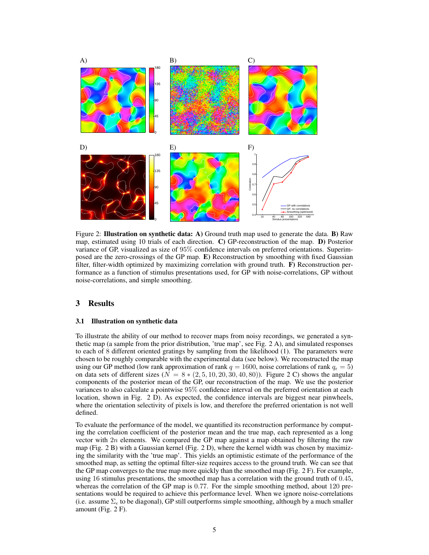

Figure 2: Illustration on synthetic data: A) Ground truth map used to generate the data. **B**) Raw map, estimated using 10 trials of each direction. C) GP-reconstruction of the map. D) Posterior variance of GP, visualized as size of 95% confidence intervals on preferred orientations. Superimposed are the zero-crossings of the GP map. E) Reconstruction by smoothing with fixed Gaussian filter, filter-width optimized by maximizing correlation with ground truth. F) Reconstruction performance as a function of stimulus presentations used, for GP with noise-correlations, GP without noise-correlations, and simple smoothing.

# 3 Results

#### 3.1 Illustration on synthetic data

To illustrate the ability of our method to recover maps from noisy recordings, we generated a synthetic map (a sample from the prior distribution, 'true map', see Fig. 2 A), and simulated responses to each of 8 different oriented gratings by sampling from the likelihood (1). The parameters were chosen to be roughly comparable with the experimental data (see below). We reconstructed the map using our GP method (low rank approximation of rank  $q = 1600$ , noise correlations of rank  $q_{\epsilon} = 5$ ) on data sets of different sizes ( $N = 8 * (2, 5, 10, 20, 30, 40, 80)$ ). Figure 2 C) shows the angular components of the posterior mean of the GP, our reconstruction of the map. We use the posterior variances to also calculate a pointwise 95% confidence interval on the preferred orientation at each location, shown in Fig. 2 D). As expected, the confidence intervals are biggest near pinwheels, where the orientation selectivity of pixels is low, and therefore the preferred orientation is not well defined.

To evaluate the performance of the model, we quantified its reconstruction performance by computing the correlation coefficient of the posterior mean and the true map, each represented as a long vector with  $2n$  elements. We compared the GP map against a map obtained by filtering the raw map (Fig. 2 B) with a Gaussian kernel (Fig. 2 D), where the kernel width was chosen by maximizing the similarity with the 'true map'. This yields an optimistic estimate of the performance of the smoothed map, as setting the optimal filter-size requires access to the ground truth. We can see that the GP map converges to the true map more quickly than the smoothed map (Fig. 2 F). For example, using 16 stimulus presentations, the smoothed map has a correlation with the ground truth of 0.45, whereas the correlation of the GP map is 0.77. For the simple smoothing method, about 120 presentations would be required to achieve this performance level. When we ignore noise-correlations (i.e. assume  $\Sigma_{\epsilon}$  to be diagonal), GP still outperforms simple smoothing, although by a much smaller amount (Fig. 2 F).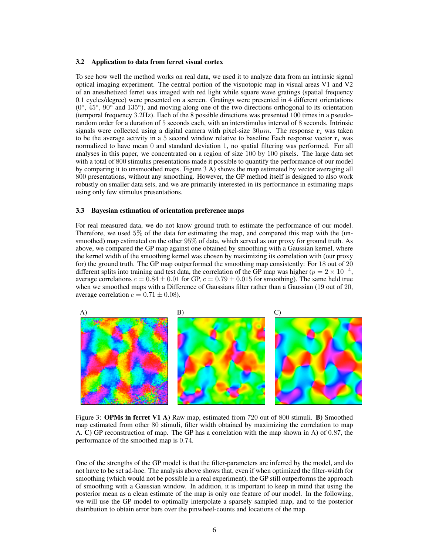#### 3.2 Application to data from ferret visual cortex

To see how well the method works on real data, we used it to analyze data from an intrinsic signal optical imaging experiment. The central portion of the visuotopic map in visual areas V1 and V2 of an anesthetized ferret was imaged with red light while square wave gratings (spatial frequency 0.1 cycles/degree) were presented on a screen. Gratings were presented in 4 different orientations  $(0^{\circ}, 45^{\circ}, 90^{\circ}$  and  $135^{\circ})$ , and moving along one of the two directions orthogonal to its orientation (temporal frequency 3.2Hz). Each of the 8 possible directions was presented 100 times in a pseudorandom order for a duration of 5 seconds each, with an interstimulus interval of 8 seconds. Intrinsic signals were collected using a digital camera with pixel-size  $30 \mu m$ . The response  $\mathbf{r}_i$  was taken to be the average activity in a 5 second window relative to baseline Each response vector  $\mathbf{r}_i$  was normalized to have mean 0 and standard deviation 1, no spatial filtering was performed. For all analyses in this paper, we concentrated on a region of size 100 by 100 pixels. The large data set with a total of 800 stimulus presentations made it possible to quantify the performance of our model by comparing it to unsmoothed maps. Figure 3 A) shows the map estimated by vector averaging all 800 presentations, without any smoothing. However, the GP method itself is designed to also work robustly on smaller data sets, and we are primarily interested in its performance in estimating maps using only few stimulus presentations.

#### 3.3 Bayesian estimation of orientation preference maps

For real measured data, we do not know ground truth to estimate the performance of our model. Therefore, we used 5% of the data for estimating the map, and compared this map with the (unsmoothed) map estimated on the other 95% of data, which served as our proxy for ground truth. As above, we compared the GP map against one obtained by smoothing with a Gaussian kernel, where the kernel width of the smoothing kernel was chosen by maximizing its correlation with (our proxy for) the ground truth. The GP map outperformed the smoothing map consistently: For 18 out of 20 different splits into training and test data, the correlation of the GP map was higher ( $p = 2 \times 10^{-4}$ , average correlations  $c = 0.84 \pm 0.01$  for GP,  $c = 0.79 \pm 0.015$  for smoothing). The same held true when we smoothed maps with a Difference of Gaussians filter rather than a Gaussian (19 out of 20, average correlation  $c = 0.71 \pm 0.08$ ).



Figure 3: **OPMs in ferret V1 A**) Raw map, estimated from 720 out of 800 stimuli. **B**) Smoothed map estimated from other 80 stimuli, filter width obtained by maximizing the correlation to map A. C) GP reconstruction of map. The GP has a correlation with the map shown in A) of 0.87, the performance of the smoothed map is 0.74.

One of the strengths of the GP model is that the filter-parameters are inferred by the model, and do not have to be set ad-hoc. The analysis above shows that, even if when optimized the filter-width for smoothing (which would not be possible in a real experiment), the GP still outperforms the approach of smoothing with a Gaussian window. In addition, it is important to keep in mind that using the posterior mean as a clean estimate of the map is only one feature of our model. In the following, we will use the GP model to optimally interpolate a sparsely sampled map, and to the posterior distribution to obtain error bars over the pinwheel-counts and locations of the map.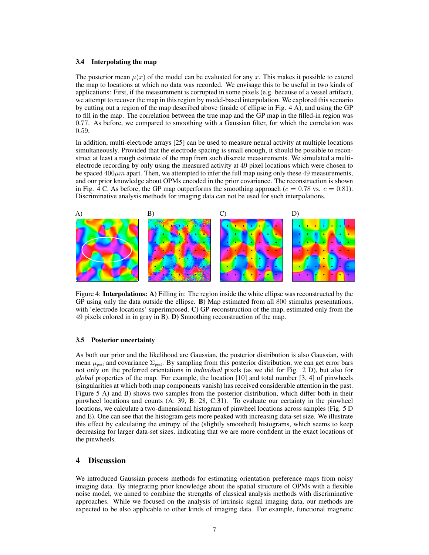#### 3.4 Interpolating the map

The posterior mean  $\mu(x)$  of the model can be evaluated for any x. This makes it possible to extend the map to locations at which no data was recorded. We envisage this to be useful in two kinds of applications: First, if the measurement is corrupted in some pixels (e.g. because of a vessel artifact), we attempt to recover the map in this region by model-based interpolation. We explored this scenario by cutting out a region of the map described above (inside of ellipse in Fig. 4 A), and using the GP to fill in the map. The correlation between the true map and the GP map in the filled-in region was 0.77. As before, we compared to smoothing with a Gaussian filter, for which the correlation was 0.59.

In addition, multi-electrode arrays [25] can be used to measure neural activity at multiple locations simultaneously. Provided that the electrode spacing is small enough, it should be possible to reconstruct at least a rough estimate of the map from such discrete measurements. We simulated a multielectrode recording by only using the measured activity at 49 pixel locations which were chosen to be spaced  $400\mu m$  apart. Then, we attempted to infer the full map using only these 49 measurements, and our prior knowledge about OPMs encoded in the prior covariance. The reconstruction is shown in Fig. 4 C. As before, the GP map outperforms the smoothing approach ( $c = 0.78$  vs.  $c = 0.81$ ). Discriminative analysis methods for imaging data can not be used for such interpolations.



Figure 4: **Interpolations:** A) Filling in: The region inside the white ellipse was reconstructed by the GP using only the data outside the ellipse. B) Map estimated from all 800 stimulus presentations, with 'electrode locations' superimposed. C) GP-reconstruction of the map, estimated only from the 49 pixels colored in in gray in B). D) Smoothing reconstruction of the map.

#### 3.5 Posterior uncertainty

As both our prior and the likelihood are Gaussian, the posterior distribution is also Gaussian, with mean  $\mu_{\text{post}}$  and covariance  $\Sigma_{\text{post}}$ . By sampling from this posterior distribution, we can get error bars not only on the preferred orientations in *individual* pixels (as we did for Fig. 2 D), but also for *global* properties of the map. For example, the location [10] and total number [3, 4] of pinwheels (singularities at which both map components vanish) has received considerable attention in the past. Figure 5 A) and B) shows two samples from the posterior distribution, which differ both in their pinwheel locations and counts (A: 39, B: 28, C:31). To evaluate our certainty in the pinwheel locations, we calculate a two-dimensional histogram of pinwheel locations across samples (Fig. 5 D and E). One can see that the histogram gets more peaked with increasing data-set size. We illustrate this effect by calculating the entropy of the (slightly smoothed) histograms, which seems to keep decreasing for larger data-set sizes, indicating that we are more confident in the exact locations of the pinwheels.

# 4 Discussion

We introduced Gaussian process methods for estimating orientation preference maps from noisy imaging data. By integrating prior knowledge about the spatial structure of OPMs with a flexible noise model, we aimed to combine the strengths of classical analysis methods with discriminative approaches. While we focused on the analysis of intrinsic signal imaging data, our methods are expected to be also applicable to other kinds of imaging data. For example, functional magnetic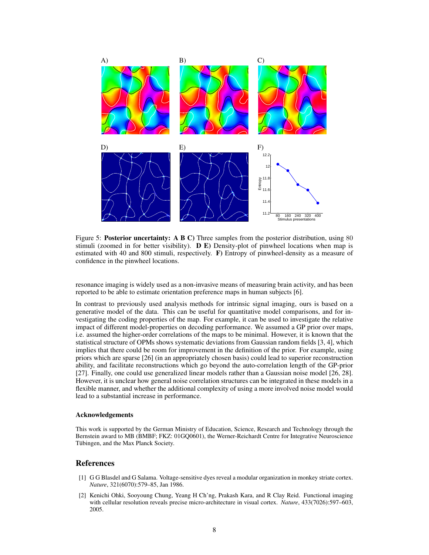

Figure 5: **Posterior uncertainty:** A B C) Three samples from the posterior distribution, using 80 stimuli (zoomed in for better visibility).  $\bf{D}$   $\bf{E}$ ) Density-plot of pinwheel locations when map is estimated with 40 and 800 stimuli, respectively. F) Entropy of pinwheel-density as a measure of confidence in the pinwheel locations.

resonance imaging is widely used as a non-invasive means of measuring brain activity, and has been reported to be able to estimate orientation preference maps in human subjects [6].

In contrast to previously used analysis methods for intrinsic signal imaging, ours is based on a generative model of the data. This can be useful for quantitative model comparisons, and for investigating the coding properties of the map. For example, it can be used to investigate the relative impact of different model-properties on decoding performance. We assumed a GP prior over maps, i.e. assumed the higher-order correlations of the maps to be minimal. However, it is known that the statistical structure of OPMs shows systematic deviations from Gaussian random fields [3, 4], which implies that there could be room for improvement in the definition of the prior. For example, using priors which are sparse [26] (in an appropriately chosen basis) could lead to superior reconstruction ability, and facilitate reconstructions which go beyond the auto-correlation length of the GP-prior [27]. Finally, one could use generalized linear models rather than a Gaussian noise model [26, 28]. However, it is unclear how general noise correlation structures can be integrated in these models in a flexible manner, and whether the additional complexity of using a more involved noise model would lead to a substantial increase in performance.

#### Acknowledgements

This work is supported by the German Ministry of Education, Science, Research and Technology through the Bernstein award to MB (BMBF; FKZ: 01GQ0601), the Werner-Reichardt Centre for Integrative Neuroscience Tübingen, and the Max Planck Society.

#### References

- [1] G G Blasdel and G Salama. Voltage-sensitive dyes reveal a modular organization in monkey striate cortex. *Nature*, 321(6070):579–85, Jan 1986.
- [2] Kenichi Ohki, Sooyoung Chung, Yeang H Ch'ng, Prakash Kara, and R Clay Reid. Functional imaging with cellular resolution reveals precise micro-architecture in visual cortex. *Nature*, 433(7026):597–603, 2005.